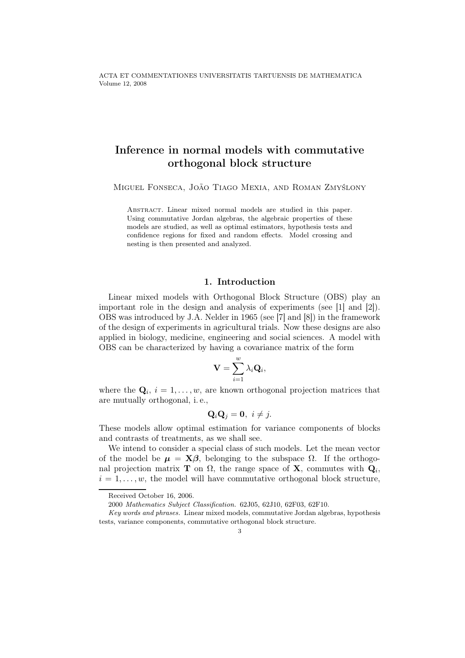ACTA ET COMMENTATIONES UNIVERSITATIS TARTUENSIS DE MATHEMATICA Volume 12, 2008

# Inference in normal models with commutative orthogonal block structure

Miguel Fonseca, João Tiago Mexia, and Roman Zmyślony

Abstract. Linear mixed normal models are studied in this paper. Using commutative Jordan algebras, the algebraic properties of these models are studied, as well as optimal estimators, hypothesis tests and confidence regions for fixed and random effects. Model crossing and nesting is then presented and analyzed.

## 1. Introduction

Linear mixed models with Orthogonal Block Structure (OBS) play an important role in the design and analysis of experiments (see [1] and [2]). OBS was introduced by J.A. Nelder in 1965 (see [7] and [8]) in the framework of the design of experiments in agricultural trials. Now these designs are also applied in biology, medicine, engineering and social sciences. A model with OBS can be characterized by having a covariance matrix of the form

$$
\mathbf{V} = \sum_{i=1}^w \lambda_i \mathbf{Q}_i,
$$

where the  $\mathbf{Q}_i$ ,  $i = 1, \ldots, w$ , are known orthogonal projection matrices that are mutually orthogonal, i. e.,

$$
\mathbf{Q}_i\mathbf{Q}_j=\mathbf{0},\ i\neq j.
$$

These models allow optimal estimation for variance components of blocks and contrasts of treatments, as we shall see.

We intend to consider a special class of such models. Let the mean vector of the model be  $\mu = \mathbf{X}\beta$ , belonging to the subspace  $\Omega$ . If the orthogonal projection matrix **T** on  $\Omega$ , the range space of **X**, commutes with  $\mathbf{Q}_i$ ,  $i = 1, \ldots, w$ , the model will have commutative orthogonal block structure,

Received October 16, 2006.

<sup>2000</sup> Mathematics Subject Classification. 62J05, 62J10, 62F03, 62F10.

Key words and phrases. Linear mixed models, commutative Jordan algebras, hypothesis tests, variance components, commutative orthogonal block structure.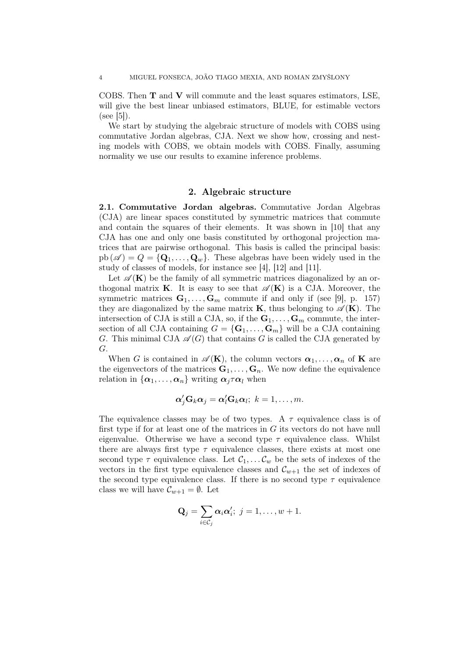COBS. Then  $T$  and  $V$  will commute and the least squares estimators, LSE, will give the best linear unbiased estimators, BLUE, for estimable vectors  $(see [5]).$ 

We start by studying the algebraic structure of models with COBS using commutative Jordan algebras, CJA. Next we show how, crossing and nesting models with COBS, we obtain models with COBS. Finally, assuming normality we use our results to examine inference problems.

## 2. Algebraic structure

2.1. Commutative Jordan algebras. Commutative Jordan Algebras (CJA) are linear spaces constituted by symmetric matrices that commute and contain the squares of their elements. It was shown in [10] that any CJA has one and only one basis constituted by orthogonal projection matrices that are pairwise orthogonal. This basis is called the principal basis:  $pb(\mathscr{A}) = Q = \{Q_1, \ldots, Q_w\}.$  These algebras have been widely used in the study of classes of models, for instance see [4], [12] and [11].

Let  $\mathscr{A}(\mathbf{K})$  be the family of all symmetric matrices diagonalized by an orthogonal matrix **K**. It is easy to see that  $\mathscr{A}(\mathbf{K})$  is a CJA. Moreover, the symmetric matrices  $\mathbf{G}_1, \ldots, \mathbf{G}_m$  commute if and only if (see [9], p. 157) they are diagonalized by the same matrix **K**, thus belonging to  $\mathscr{A}(\mathbf{K})$ . The intersection of CJA is still a CJA, so, if the  $\mathbf{G}_1, \ldots, \mathbf{G}_m$  commute, the intersection of all CJA containing  $G = {\mathbf{G}_1, \ldots, \mathbf{G}_m}$  will be a CJA containing G. This minimal CJA  $\mathscr{A}(G)$  that contains G is called the CJA generated by G.

When G is contained in  $\mathscr{A}(\mathbf{K})$ , the column vectors  $\alpha_1, \ldots, \alpha_n$  of **K** are the eigenvectors of the matrices  $\mathbf{G}_1, \ldots, \mathbf{G}_n$ . We now define the equivalence relation in  $\{\boldsymbol{\alpha}_1,\ldots,\boldsymbol{\alpha}_n\}$  writing  $\boldsymbol{\alpha}_i\tau\boldsymbol{\alpha}_l$  when

$$
\alpha'_j \mathbf{G}_k \alpha_j = \alpha'_l \mathbf{G}_k \alpha_l; \ k = 1, \ldots, m.
$$

The equivalence classes may be of two types. A  $\tau$  equivalence class is of first type if for at least one of the matrices in G its vectors do not have null eigenvalue. Otherwise we have a second type  $\tau$  equivalence class. Whilst there are always first type  $\tau$  equivalence classes, there exists at most one second type  $\tau$  equivalence class. Let  $\mathcal{C}_1, \ldots \mathcal{C}_w$  be the sets of indexes of the vectors in the first type equivalence classes and  $\mathcal{C}_{w+1}$  the set of indexes of the second type equivalence class. If there is no second type  $\tau$  equivalence class we will have  $\mathcal{C}_{w+1} = \emptyset$ . Let

$$
\mathbf{Q}_j = \sum_{i \in C_j} \alpha_i \alpha'_i; \ j = 1, \ldots, w + 1.
$$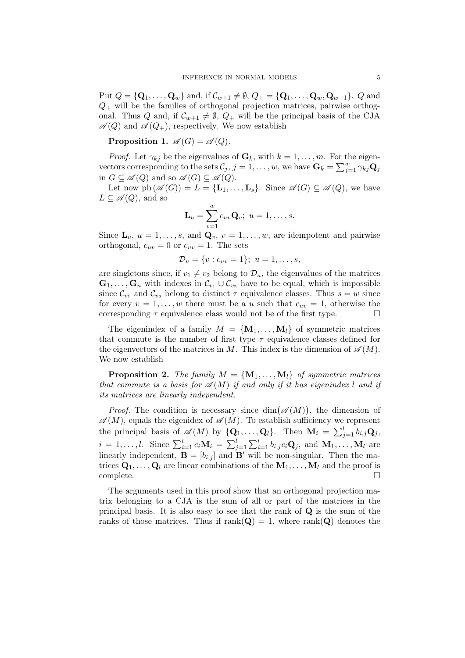Put  $Q = {\mathbf{Q}_1, \ldots, \mathbf{Q}_w}$  and, if  $\mathcal{C}_{w+1} \neq \emptyset$ ,  $Q_+ = {\mathbf{Q}_1, \ldots, \mathbf{Q}_w, \mathbf{Q}_{w+1}}$ . Q and  $Q_{+}$  will be the families of orthogonal projection matrices, pairwise orthogonal. Thus Q and, if  $\mathcal{C}_{w+1} \neq \emptyset$ ,  $Q_+$  will be the principal basis of the CJA  $\mathscr{A}(Q)$  and  $\mathscr{A}(Q_+)$ , respectively. We now establish

Proposition 1.  $\mathscr{A}(G) = \mathscr{A}(Q)$ .

*Proof.* Let  $\gamma_{kj}$  be the eigenvalues of  $\mathbf{G}_k$ , with  $k = 1, \ldots, m$ . For the eigenvectors corresponding to the sets  $\mathcal{C}_j$ ,  $j = 1, \ldots, w$ , we have  $\mathbf{G}_k = \sum_{j=1}^w \gamma_{kj} \mathbf{Q}_j$ in  $G \subseteq \mathcal{A}(Q)$  and so  $\mathcal{A}(G) \subseteq \mathcal{A}(Q)$ .

Let now pb  $(\mathscr{A}(G)) = L = {\mathbf{L}_1, \ldots, \mathbf{L}_s}$ . Since  $\mathscr{A}(G) \subseteq \mathscr{A}(Q)$ , we have  $L \subseteq \mathscr{A}(Q)$ , and so

$$
\mathbf{L}_u = \sum_{v=1}^w c_{uv} \mathbf{Q}_v; \ u = 1, \ldots, s.
$$

Since  $\mathbf{L}_u, u = 1, \ldots, s$ , and  $\mathbf{Q}_v, v = 1, \ldots, w$ , are idempotent and pairwise orthogonal,  $c_{uv} = 0$  or  $c_{uv} = 1$ . The sets

$$
\mathcal{D}_u = \{v : c_{uv} = 1\}; \ u = 1, \dots, s,
$$

are singletons since, if  $v_1 \neq v_2$  belong to  $\mathcal{D}_u$ , the eigenvalues of the matrices  $\mathbf{G}_1, \ldots, \mathbf{G}_n$  with indexes in  $\mathcal{C}_{v_1} \cup \mathcal{C}_{v_2}$  have to be equal, which is impossible since  $\mathcal{C}_{v_1}$  and  $\mathcal{C}_{v_2}$  belong to distinct  $\tau$  equivalence classes. Thus  $s = w$  since for every  $v = 1, \ldots, w$  there must be a u such that  $c_{uv} = 1$ , otherwise the corresponding  $\tau$  equivalence class would not be of the first type.

The eigenindex of a family  $M = \{M_1, \ldots, M_l\}$  of symmetric matrices that commute is the number of first type  $\tau$  equivalence classes defined for the eigenvectors of the matrices in M. This index is the dimension of  $\mathscr{A}(M)$ . We now establish

**Proposition 2.** The family  $M = \{M_1, \ldots, M_l\}$  of symmetric matrices that commute is a basis for  $\mathscr{A}(M)$  if and only if it has eigenindex l and if its matrices are linearly independent.

*Proof.* The condition is necessary since  $dim(\mathscr{A}(M))$ , the dimension of  $\mathscr{A}(M)$ , equals the eigenidex of  $\mathscr{A}(M)$ . To establish sufficiency we represent the principal basis of  $\mathscr{A}(M)$  by  $\{Q_1, \ldots, Q_l\}$ . Then  $M_i = \sum_{j=1}^l b_{i,j} Q_j$ ,  $i = 1, \ldots, l$ . Since  $\sum_{i=1}^{l} c_i \mathbf{M}_i = \sum_{j=1}^{l} \sum_{i=1}^{l} b_{i,j} c_i \mathbf{Q}_j$ , and  $\mathbf{M}_1, \ldots, \mathbf{M}_l$  are linearly independent,  $\mathbf{B} = [b_{i,j}]$  and  $\mathbf{B}'$  will be non-singular. Then the matrices  $\mathbf{Q}_1, \ldots, \mathbf{Q}_l$  are linear combinations of the  $\mathbf{M}_1, \ldots, \mathbf{M}_l$  and the proof is  $\Box$ complete.  $\Box$ 

The arguments used in this proof show that an orthogonal projection matrix belonging to a CJA is the sum of all or part of the matrices in the principal basis. It is also easy to see that the rank of  $Q$  is the sum of the ranks of those matrices. Thus if  $rank(Q) = 1$ , where  $rank(Q)$  denotes the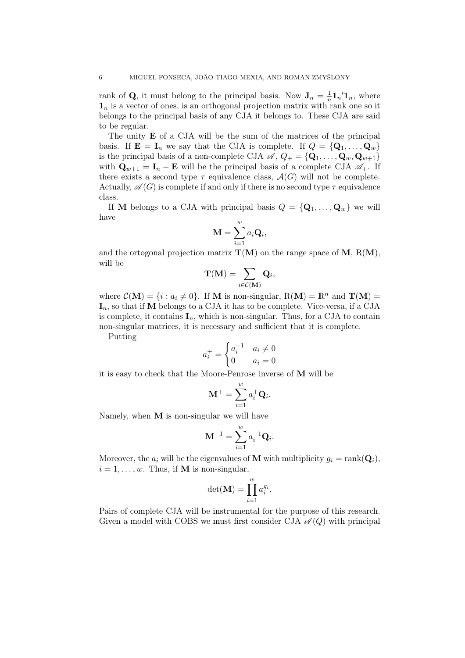rank of Q, it must belong to the principal basis. Now  $J_n = \frac{1}{n} \mathbf{1}_n' \mathbf{1}_n$ , where  $\mathbf{1}_n$  is a vector of ones, is an orthogonal projection matrix with rank one so it belongs to the principal basis of any CJA it belongs to. These CJA are said to be regular.

The unity **E** of a CJA will be the sum of the matrices of the principal basis. If  $\mathbf{E} = \mathbf{I}_n$  we say that the CJA is complete. If  $Q = \{Q_1, \ldots, Q_w\}$ is the principal basis of a non-complete CJA  $\mathscr{A}, Q_+ = {\bf{Q}_1, \ldots, Q_w, Q_{w+1}}$ with  $\mathbf{Q}_{w+1} = \mathbf{I}_n - \mathbf{E}$  will be the principal basis of a complete CJA  $\mathscr{A}_+$ . If there exists a second type  $\tau$  equivalence class,  $\mathcal{A}(G)$  will not be complete. Actually,  $\mathscr{A}(G)$  is complete if and only if there is no second type  $\tau$  equivalence class.

If M belongs to a CJA with principal basis  $Q = {\bf{Q}_1, \ldots, Q_w}$  we will have

$$
\mathbf{M} = \sum_{i=1}^{w} a_i \mathbf{Q}_i,
$$

and the ortogonal projection matrix  $T(M)$  on the range space of M, R(M), will be

$$
\mathbf{T}(\mathbf{M}) = \sum_{i \in \mathcal{C}(\mathbf{M})} \mathbf{Q}_i,
$$

where  $\mathcal{C}(\mathbf{M}) = \{i : a_i \neq 0\}$ . If **M** is non-singular,  $R(\mathbf{M}) = \mathbb{R}^n$  and  $\mathbf{T}(\mathbf{M}) =$  $I_n$ , so that if M belongs to a CJA it has to be complete. Vice-versa, if a CJA is complete, it contains  $I_n$ , which is non-singular. Thus, for a CJA to contain non-singular matrices, it is necessary and sufficient that it is complete.

Putting

$$
a_i^+ = \begin{cases} a_i^{-1} & a_i \neq 0 \\ 0 & a_i = 0 \end{cases}
$$

it is easy to check that the Moore-Penrose inverse of M will be

$$
\mathbf{M}^+ = \sum_{i=1}^w a_i^+ \mathbf{Q}_i.
$$

Namely, when  $M$  is non-singular we will have

$$
\mathbf{M}^{-1} = \sum_{i=1}^w a_i^{-1} \mathbf{Q}_i.
$$

Moreover, the  $a_i$  will be the eigenvalues of **M** with multiplicity  $g_i = \text{rank}(\mathbf{Q}_i)$ ,  $i = 1, \ldots, w$ . Thus, if **M** is non-singular,

$$
\det(\mathbf{M}) = \prod_{i=1}^{w} a_i^{g_i}.
$$

Pairs of complete CJA will be instrumental for the purpose of this research. Given a model with COBS we must first consider CJA  $\mathscr{A}(Q)$  with principal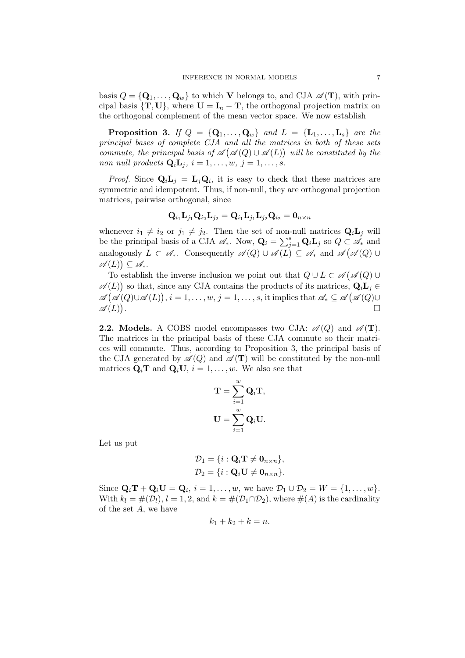basis  $Q = {\bf{Q}_1, ..., Q_w}$  to which V belongs to, and CJA  $\mathscr{A}(\mathbf{T})$ , with principal basis  $\{T, U\}$ , where  $U = I_n - T$ , the orthogonal projection matrix on the orthogonal complement of the mean vector space. We now establish

**Proposition 3.** If  $Q = \{Q_1, \ldots, Q_w\}$  and  $L = \{L_1, \ldots, L_s\}$  are the principal bases of complete CJA and all the matrices in both of these sets commute, the principal basis of  $\mathscr{A}(\mathscr{A}(Q) \cup \mathscr{A}(L))$  will be constituted by the non null products  $\mathbf{Q}_i \mathbf{L}_j$ ,  $i = 1, \ldots, w, j = 1, \ldots, s$ .

*Proof.* Since  $\mathbf{Q}_i \mathbf{L}_j = \mathbf{L}_j \mathbf{Q}_i$ , it is easy to check that these matrices are symmetric and idempotent. Thus, if non-null, they are orthogonal projection matrices, pairwise orthogonal, since

$$
\mathbf{Q}_{i_1}\mathbf{L}_{j_1}\mathbf{Q}_{i_2}\mathbf{L}_{j_2} = \mathbf{Q}_{i_1}\mathbf{L}_{j_1}\mathbf{L}_{j_2}\mathbf{Q}_{i_2} = \mathbf{0}_{n \times n}
$$

whenever  $i_1 \neq i_2$  or  $j_1 \neq j_2$ . Then the set of non-null matrices  $\mathbf{Q}_i \mathbf{L}_j$  will be the principal basis of a CJA  $\mathscr{A}_*$ . Now,  $\mathbf{Q}_i = \sum_{j=1}^s \mathbf{Q}_i \mathbf{L}_j$  so  $Q \subset \mathscr{A}_*$  and analogously  $L \subset \mathscr{A}_{*}$ . Consequently  $\mathscr{A}(Q) \cup \mathscr{A}(L) \subseteq \mathscr{A}_{*}$  and  $\mathscr{A}(\mathscr{A}(Q) \cup$  $\mathscr{A}(L)$ )  $\subseteq \mathscr{A}_{*}$ .

To establish the inverse inclusion we point out that  $Q \cup L \subset \mathscr{A}(\mathscr{A}(Q))$  $\mathscr{A}(L)$  so that, since any CJA contains the products of its matrices,  $\mathbf{Q}_i \mathbf{L}_j \in$  $\mathscr{A}(\mathscr{A}(Q)\cup\mathscr{A}(L)), i=1,\ldots,w, j=1,\ldots,s,$  it implies that  $\mathscr{A}_*\subseteq\mathscr{A}(\mathscr{A}(Q)\cup\mathscr{A}(L))$  $\mathscr{A}(L)$ . The contract of the contract of the contract of the contract of  $\Box$ 

**2.2.** Models. A COBS model encompasses two CJA:  $\mathcal{A}(Q)$  and  $\mathcal{A}(\mathbf{T})$ . The matrices in the principal basis of these CJA commute so their matrices will commute. Thus, according to Proposition 3, the principal basis of the CJA generated by  $\mathscr{A}(Q)$  and  $\mathscr{A}(\mathbf{T})$  will be constituted by the non-null matrices  $\mathbf{Q}_i \mathbf{T}$  and  $\mathbf{Q}_i \mathbf{U}$ ,  $i = 1, \ldots, w$ . We also see that

$$
\mathbf{T} = \sum_{i=1}^{w} \mathbf{Q}_i \mathbf{T},
$$

$$
\mathbf{U} = \sum_{i=1}^{w} \mathbf{Q}_i \mathbf{U}.
$$

Let us put

$$
\mathcal{D}_1 = \{i : \mathbf{Q}_i \mathbf{T} \neq \mathbf{0}_{n \times n}\},\
$$
  

$$
\mathcal{D}_2 = \{i : \mathbf{Q}_i \mathbf{U} \neq \mathbf{0}_{n \times n}\}.
$$

Since  $\mathbf{Q}_i \mathbf{T} + \mathbf{Q}_i \mathbf{U} = \mathbf{Q}_i$ ,  $i = 1, \dots, w$ , we have  $\mathcal{D}_1 \cup \mathcal{D}_2 = W = \{1, \dots, w\}$ . With  $k_l = #(\mathcal{D}_l), l = 1, 2$ , and  $k = #(\mathcal{D}_1 \cap \mathcal{D}_2)$ , where  $#(A)$  is the cardinality of the set A, we have

$$
k_1 + k_2 + k = n.
$$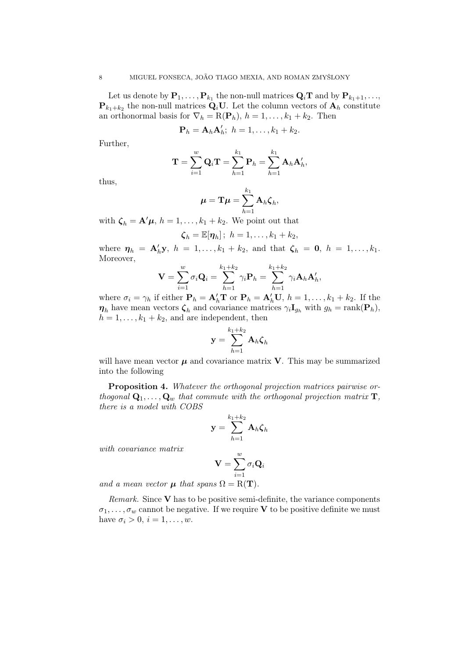Let us denote by  $\mathbf{P}_1, \ldots, \mathbf{P}_{k_1}$  the non-null matrices  $\mathbf{Q}_i \mathbf{T}$  and by  $\mathbf{P}_{k_1+1}, \ldots,$  $\mathbf{P}_{k_1+k_2}$  the non-null matrices  $\mathbf{Q}_i \mathbf{U}$ . Let the column vectors of  $\mathbf{A}_h$  constitute an orthonormal basis for  $\nabla_h = \mathcal{R}(\mathbf{P}_h)$ ,  $h = 1, \ldots, k_1 + k_2$ . Then

$$
\mathbf{P}_h = \mathbf{A}_h \mathbf{A}_h'; \ h = 1, \dots, k_1 + k_2.
$$

Further,

$$
\mathbf{T} = \sum_{i=1}^w \mathbf{Q}_i \mathbf{T} = \sum_{h=1}^{k_1} \mathbf{P}_h = \sum_{h=1}^{k_1} \mathbf{A}_h \mathbf{A}_h',
$$

thus,

$$
\boldsymbol{\mu} = \mathbf{T} \boldsymbol{\mu} = \sum_{h=1}^{k_1} \mathbf{A}_h \boldsymbol{\zeta}_h,
$$

with  $\zeta_h = \mathbf{A}'\boldsymbol{\mu}$ ,  $h = 1, \ldots, k_1 + k_2$ . We point out that

$$
\boldsymbol{\zeta}_h = \mathbb{E}[\boldsymbol{\eta}_h]; \ h = 1, \ldots, k_1 + k_2,
$$

where  $\boldsymbol{\eta}_h = \mathbf{A}_h' \mathbf{y}$ ,  $h = 1, \ldots, k_1 + k_2$ , and that  $\boldsymbol{\zeta}_h = \mathbf{0}$ ,  $h = 1, \ldots, k_1$ . Moreover,

$$
\mathbf{V}=\sum_{i=1}^w \sigma_i \mathbf{Q}_i=\sum_{h=1}^{k_1+k_2} \gamma_i \mathbf{P}_h=\sum_{h=1}^{k_1+k_2} \gamma_i \mathbf{A}_h \mathbf{A}_h',
$$

where  $\sigma_i = \gamma_h$  if either  $\mathbf{P}_h = \mathbf{A}'_h \mathbf{T}$  or  $\mathbf{P}_h = \mathbf{A}'_h \mathbf{U}$ ,  $h = 1, \ldots, k_1 + k_2$ . If the  $\eta_h$  have mean vectors  $\zeta_h$  and covariance matrices  $\gamma_i \mathbf{I}_{g_h}$  with  $g_h = \text{rank}(\mathbf{P}_h)$ ,  $h = 1, \ldots, k_1 + k_2$ , and are independent, then

$$
\mathbf{y} = \sum_{h=1}^{k_1+k_2} \mathbf{A}_h \boldsymbol{\zeta}_h
$$

will have mean vector  $\mu$  and covariance matrix **V**. This may be summarized into the following

Proposition 4. Whatever the orthogonal projection matrices pairwise orthogonal  $\mathbf{Q}_1, \ldots, \mathbf{Q}_w$  that commute with the orthogonal projection matrix  $\mathbf{T}$ , there is a model with COBS

$$
\mathbf{y} = \sum_{h=1}^{k_1+k_2} \mathbf{A}_h \boldsymbol{\zeta}_h
$$

with covariance matrix

$$
\mathbf{V}=\sum_{i=1}^w \sigma_i \mathbf{Q}_i
$$

and a mean vector  $\mu$  that spans  $\Omega = R(T)$ .

Remark. Since  $V$  has to be positive semi-definite, the variance components  $\sigma_1, \ldots, \sigma_w$  cannot be negative. If we require V to be positive definite we must have  $\sigma_i > 0$ ,  $i = 1, \ldots, w$ .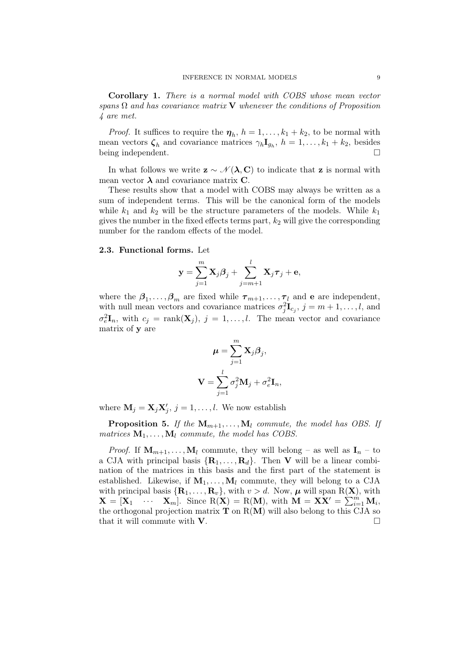Corollary 1. There is a normal model with COBS whose mean vector spans  $\Omega$  and has covariance matrix **V** whenever the conditions of Proposition 4 are met.

*Proof.* It suffices to require the  $\eta_h$ ,  $h = 1, \ldots, k_1 + k_2$ , to be normal with mean vectors  $\zeta_h$  and covariance matrices  $\gamma_h \mathbf{I}_{g_h}$ ,  $h = 1, \ldots, k_1 + k_2$ , besides being independent.

In what follows we write  $\mathbf{z} \sim \mathcal{N}(\lambda, \mathbf{C})$  to indicate that z is normal with mean vector  $\lambda$  and covariance matrix C.

These results show that a model with COBS may always be written as a sum of independent terms. This will be the canonical form of the models while  $k_1$  and  $k_2$  will be the structure parameters of the models. While  $k_1$ gives the number in the fixed effects terms part,  $k_2$  will give the corresponding number for the random effects of the model.

#### 2.3. Functional forms. Let

$$
\mathbf{y} = \sum_{j=1}^m \mathbf{X}_j \boldsymbol{\beta}_j + \sum_{j=m+1}^l \mathbf{X}_j \boldsymbol{\tau}_j + \mathbf{e},
$$

where the  $\beta_1, \ldots, \beta_m$  are fixed while  $\tau_{m+1}, \ldots, \tau_l$  and **e** are independent, with null mean vectors and covariance matrices  $\sigma_j^2 \mathbf{I}_{c_j}$ ,  $j = m + 1, \ldots, l$ , and  $\sigma_e^2 \mathbf{I}_n$ , with  $c_j = \text{rank}(\mathbf{X}_j)$ ,  $j = 1, ..., l$ . The mean vector and covariance matrix of y are

$$
\mu = \sum_{j=1}^{m} \mathbf{X}_{j} \beta_{j},
$$

$$
\mathbf{V} = \sum_{j=1}^{l} \sigma_{j}^{2} \mathbf{M}_{j} + \sigma_{e}^{2} \mathbf{I}_{n},
$$

where  $\mathbf{M}_j = \mathbf{X}_j \mathbf{X}'_j, j = 1, \dots, l$ . We now establish

**Proposition 5.** If the  $M_{m+1}, \ldots, M_l$  commute, the model has OBS. If matrices  $M_1, \ldots, M_l$  commute, the model has COBS.

*Proof.* If  $M_{m+1}, \ldots, M_l$  commute, they will belong – as well as  $I_n$  – to a CJA with principal basis  $\{R_1, \ldots, R_d\}$ . Then **V** will be a linear combination of the matrices in this basis and the first part of the statement is established. Likewise, if  $M_1, \ldots, M_l$  commute, they will belong to a CJA with principal basis  $\{R_1, \ldots, R_v\}$ , with  $v > d$ . Now,  $\mu$  will span R(**X**), with  $\mathbf{X} = [\mathbf{X}_1 \quad \cdots \quad \mathbf{X}_m].$  Since  $R(\mathbf{X}) = R(\mathbf{M})$ , with  $\mathbf{M} = \mathbf{X}\mathbf{X}' = \sum_{i=1}^m \mathbf{M}_i$ , the orthogonal projection matrix  $T$  on  $R(M)$  will also belong to this CJA so that it will commute with  $V$ .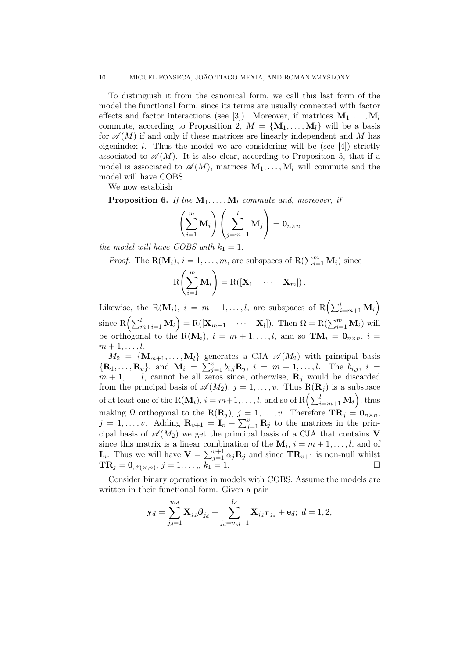To distinguish it from the canonical form, we call this last form of the model the functional form, since its terms are usually connected with factor effects and factor interactions (see [3]). Moreover, if matrices  $M_1, \ldots, M_l$ commute, according to Proposition 2,  $M = \{M_1, \ldots, M_l\}$  will be a basis for  $\mathscr{A}(M)$  if and only if these matrices are linearly independent and M has eigenindex l. Thus the model we are considering will be (see [4]) strictly associated to  $\mathscr{A}(M)$ . It is also clear, according to Proposition 5, that if a model is associated to  $\mathscr{A}(M)$ , matrices  $M_1, \ldots, M_l$  will commute and the model will have COBS.

We now establish

**Proposition 6.** If the  $M_1, \ldots, M_l$  commute and, moreover, if

$$
\left(\sum_{i=1}^{m} \mathbf{M}_{i}\right)\left(\sum_{j=m+1}^{l} \mathbf{M}_{j}\right) = \mathbf{0}_{n \times n}
$$

the model will have COBS with  $k_1 = 1$ .

*Proof.* The R( $\mathbf{M}_i$ ),  $i = 1, ..., m$ , are subspaces of R( $\sum_{i=1}^{m} \mathbf{M}_i$ ) since

$$
R\left(\sum_{i=1}^m \mathbf{M}_i\right) = R([\mathbf{X}_1 \quad \cdots \quad \mathbf{X}_m]).
$$

Likewise, the R(M<sub>i</sub>),  $i = m + 1, ..., l$ , are subspaces of R $\left(\sum_{i=m+1}^{l} \mathbf{M}_{i}\right)$ since  $R\left(\sum_{m+i=1}^{l} \mathbf{M}_i\right) = R([\mathbf{X}_{m+1} \quad \cdots \quad \mathbf{X}_l]).$  Then  $\Omega = R(\sum_{i=1}^{m} \mathbf{M}_i)$  will be orthogonal to the R( $\mathbf{M}_i$ ),  $i = m + 1, \ldots, l$ , and so  $\mathbf{TM}_i = \mathbf{0}_{n \times n}$ ,  $i =$  $m+1,\ldots,l.$ 

 $M_2 = {\bf M}_{m+1}, \ldots, {\bf M}_l$  generates a CJA  $\mathscr{A}(M_2)$  with principal basis  $\{R_1, \ldots, R_v\}$ , and  $M_i = \sum_{j=1}^v b_{i,j} R_j$ ,  $i = m+1, \ldots, l$ . The  $b_{i,j}$ ,  $i =$  $m+1,\ldots,l$ , cannot be all zeros since, otherwise,  $\mathbf{R}_j$  would be discarded from the principal basis of  $\mathscr{A}(M_2)$ ,  $j = 1, \ldots, v$ . Thus  $R(\mathbf{R}_j)$  is a subspace of at least one of the  $\text{R}(\mathbf{M}_i), i = m+1, \ldots, l,$  and so of  $\text{R}\left(\sum_{i=m+1}^{l} \mathbf{M}_i\right)$ , thus making  $\Omega$  orthogonal to the  $R(\mathbf{R}_j)$ ,  $j = 1, \ldots, v$ . Therefore  $\mathbf{TR}_j = \mathbf{0}_{n \times n}$ ,  $j = 1, \ldots, v$ . Adding  $\mathbf{R}_{v+1} = \mathbf{I}_n - \sum_{j=1}^v \mathbf{R}_j$  to the matrices in the principal basis of  $\mathscr{A}(M_2)$  we get the principal basis of a CJA that contains V since this matrix is a linear combination of the  $M_i$ ,  $i = m + 1, \ldots, l$ , and of  $\mathbf{I}_n$ . Thus we will have  $\mathbf{V} = \sum_{j=1}^{v+1} \alpha_j \mathbf{R}_j$  and since  $\mathbf{TR}_{v+1}$  is non-null whilst  $\mathbf{TR}_j = \mathbf{0}_{\mathcal{N}(\times,n)}, j = 1, \ldots,$ ,  $\overline{k_1} = 1.$ 

Consider binary operations in models with COBS. Assume the models are written in their functional form. Given a pair

$$
\mathbf{y}_d = \sum_{j_d=1}^{m_d} \mathbf{X}_{j_d} \boldsymbol{\beta}_{j_d} + \sum_{j_d=m_d+1}^{l_d} \mathbf{X}_{j_d} \boldsymbol{\tau}_{j_d} + \mathbf{e}_d; \ d = 1, 2,
$$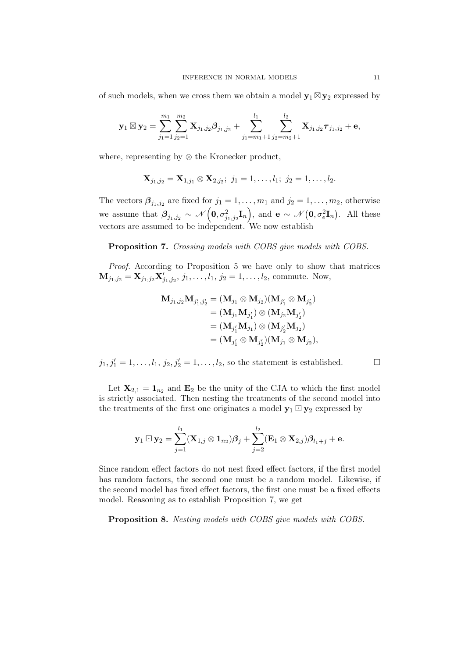of such models, when we cross them we obtain a model  $\mathbf{y}_1 \boxtimes \mathbf{y}_2$  expressed by

$$
\mathbf{y}_1 \boxtimes \mathbf{y}_2 = \sum_{j_1=1}^{m_1} \sum_{j_2=1}^{m_2} \mathbf{X}_{j_1,j_2} \boldsymbol{\beta}_{j_1,j_2} + \sum_{j_1=m_1+1}^{l_1} \sum_{j_2=m_2+1}^{l_2} \mathbf{X}_{j_1,j_2} \boldsymbol{\tau}_{j_1,j_2} + \mathbf{e},
$$

where, representing by  $\otimes$  the Kronecker product,

$$
\mathbf{X}_{j_1,j_2}=\mathbf{X}_{1,j_1}\otimes \mathbf{X}_{2,j_2};\; j_1=1,\ldots,l_1;\; j_2=1,\ldots,l_2.
$$

The vectors  $\beta_{j_1,j_2}$  are fixed for  $j_1 = 1, \ldots, m_1$  and  $j_2 = 1, \ldots, m_2$ , otherwise we assume that  $\beta_{j_1,j_2} \sim \mathcal{N}\left(0, \sigma_{j_1,j_2}^2 \mathbf{I}_n\right)$ , and  $\mathbf{e} \sim \mathcal{N}\left(0, \sigma_{e}^2 \mathbf{I}_n\right)$ . All these vectors are assumed to be independent. We now establish

Proposition 7. Crossing models with COBS give models with COBS.

Proof. According to Proposition 5 we have only to show that matrices  $\mathbf{M}_{j_1,j_2} = \mathbf{X}_{j_1,j_2} \mathbf{X}_{j_1,j_2}', j_1, \ldots, l_1, j_2 = 1, \ldots, l_2$ , commute. Now,

$$
\begin{aligned} \mathbf{M}_{j_1, j_2} \mathbf{M}_{j'_1, j'_2} &= (\mathbf{M}_{j_1} \otimes \mathbf{M}_{j_2}) (\mathbf{M}_{j'_1} \otimes \mathbf{M}_{j'_2}) \\ &= (\mathbf{M}_{j_1} \mathbf{M}_{j'_1}) \otimes (\mathbf{M}_{j_2} \mathbf{M}_{j'_2}) \\ &= (\mathbf{M}_{j'_1} \mathbf{M}_{j_1}) \otimes (\mathbf{M}_{j'_2} \mathbf{M}_{j_2}) \\ &= (\mathbf{M}_{j'_1} \otimes \mathbf{M}_{j'_2}) (\mathbf{M}_{j_1} \otimes \mathbf{M}_{j_2}), \end{aligned}
$$

 $j_1, j'_1 = 1, \ldots, l_1, j_2, j'_2 = 1, \ldots, l_2$ , so the statement is established.  $\Box$ 

Let  $X_{2,1} = 1_{n_2}$  and  $E_2$  be the unity of the CJA to which the first model is strictly associated. Then nesting the treatments of the second model into the treatments of the first one originates a model  $y_1 \square y_2$  expressed by

$$
\mathbf{y}_1\boxdot\mathbf{y}_2=\sum_{j=1}^{l_1}(\mathbf{X}_{1,j}\otimes\mathbf{1}_{n_2})\boldsymbol{\beta}_j+\sum_{j=2}^{l_2}(\mathbf{E}_1\otimes\mathbf{X}_{2,j})\boldsymbol{\beta}_{l_1+j}+\mathbf{e}.
$$

Since random effect factors do not nest fixed effect factors, if the first model has random factors, the second one must be a random model. Likewise, if the second model has fixed effect factors, the first one must be a fixed effects model. Reasoning as to establish Proposition 7, we get

Proposition 8. Nesting models with COBS give models with COBS.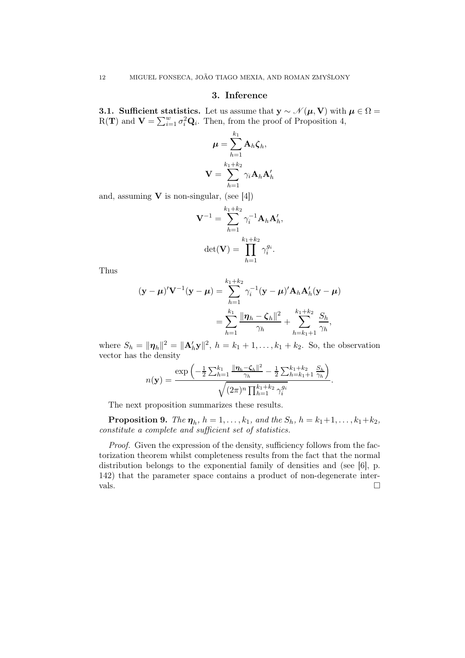## 3. Inference

3.1. Sufficient statistics. Let us assume that  $y \sim \mathcal{N}(\mu, V)$  with  $\mu \in \Omega =$  $R(\mathbf{T})$  and  $\mathbf{V} = \sum_{i=1}^{w} \sigma_i^2 \mathbf{Q}_i$ . Then, from the proof of Proposition 4,

$$
\boldsymbol{\mu} = \sum_{h=1}^{k_1} \mathbf{A}_h \boldsymbol{\zeta}_h,
$$

$$
\mathbf{V} = \sum_{h=1}^{k_1 + k_2} \gamma_i \mathbf{A}_h \mathbf{A}_h'
$$

and, assuming  $V$  is non-singular, (see [4])

$$
\mathbf{V}^{-1} = \sum_{h=1}^{k_1+k_2} \gamma_i^{-1} \mathbf{A}_h \mathbf{A}_h',
$$

$$
\det(\mathbf{V}) = \prod_{h=1}^{k_1+k_2} \gamma_i^{g_i}.
$$

Thus

$$
(\mathbf{y} - \boldsymbol{\mu})'\mathbf{V}^{-1}(\mathbf{y} - \boldsymbol{\mu}) = \sum_{h=1}^{k_1 + k_2} \gamma_i^{-1}(\mathbf{y} - \boldsymbol{\mu})' \mathbf{A}_h \mathbf{A}_h'(\mathbf{y} - \boldsymbol{\mu})
$$

$$
= \sum_{h=1}^{k_1} \frac{\|\boldsymbol{\eta}_h - \boldsymbol{\zeta}_h\|^2}{\gamma_h} + \sum_{h=k_1+1}^{k_1 + k_2} \frac{S_h}{\gamma_h},
$$

where  $S_h = ||\eta_h||^2 = ||\mathbf{A}_h' \mathbf{y}||^2$ ,  $h = k_1 + 1, ..., k_1 + k_2$ . So, the observation vector has the density

$$
n(\mathbf{y}) = \frac{\exp\left(-\frac{1}{2}\sum_{h=1}^{k_1} \frac{\|\pmb{\eta}_h - \pmb{\zeta}_h\|^2}{\gamma_h} - \frac{1}{2}\sum_{h=k_1+1}^{k_1+k_2} \frac{S_h}{\gamma_h}\right)}{\sqrt{(2\pi)^n \prod_{h=1}^{k_1+k_2} \gamma_i^{g_i}}}.
$$

The next proposition summarizes these results.

**Proposition 9.** The  $\eta_h$ ,  $h = 1, ..., k_1$ , and the  $S_h$ ,  $h = k_1 + 1, ..., k_1 + k_2$ , constitute a complete and sufficient set of statistics.

Proof. Given the expression of the density, sufficiency follows from the factorization theorem whilst completeness results from the fact that the normal distribution belongs to the exponential family of densities and (see [6], p. 142) that the parameter space contains a product of non-degenerate intervals.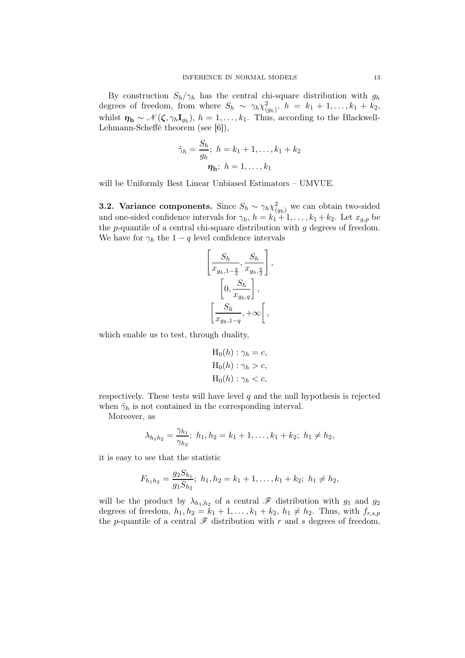By construction  $S_h/\gamma_h$  has the central chi-square distribution with  $g_h$ degrees of freedom, from where  $S_h \sim \gamma_h \chi^2_{(g_h)}, h = k_1 + 1, \ldots, k_1 + k_2$ , whilst  $\eta_{h} \sim \mathcal{N}(\zeta, \gamma_h \mathbf{I}_{g_h}), h = 1, \ldots, k_1$ . Thus, according to the Blackwell-Lehmann-Scheffé theorem (see [6]),

$$
\tilde{\gamma}_h = \frac{S_h}{g_h}; \ h = k_1 + 1, \dots, k_1 + k_2
$$

$$
\boldsymbol{\eta}_h; \ h = 1, \dots, k_1
$$

will be Uniformly Best Linear Unbiased Estimators – UMVUE.

**3.2. Variance components.** Since  $S_h \sim \gamma_h \chi^2_{(g_h)}$  we can obtain two-sided and one-sided confidence intervals for  $\gamma_h$ ,  $h = k_1 + 1, \ldots, k_1 + k_2$ . Let  $x_{q,p}$  be the p-quantile of a central chi-square distribution with  $q$  degrees of freedom. We have for  $\gamma_h$  the 1 – q level confidence intervals

$$
\left[\frac{S_h}{x_{g_h,1-\frac{q}{2}}}, \frac{S_h}{x_{g_h,\frac{q}{2}}}\right],
$$

$$
\left[0, \frac{S_h}{x_{g_h,q}}\right],
$$

$$
\left[\frac{S_h}{x_{g_h,1-q}}, +\infty\right[,
$$

which enable us to test, through duality,

$$
H_0(h) : \gamma_h = c,
$$
  
\n
$$
H_0(h) : \gamma_h > c,
$$
  
\n
$$
H_0(h) : \gamma_h < c,
$$

respectively. These tests will have level  $q$  and the null hypothesis is rejected when  $\tilde{\gamma}_h$  is not contained in the corresponding interval.

Moreover, as

$$
\lambda_{h_1h_2}=\frac{\gamma_{h_1}}{\gamma_{h_2}};\,\,h_1,h_2=k_1+1,\ldots,k_1+k_2;\,\,h_1\neq h_2,
$$

it is easy to see that the statistic

$$
F_{h_1h_2}=\frac{g_2S_{h_1}}{g_1S_{h_2}}; h_1, h_2=k_1+1,\ldots,k_1+k_2; h_1\neq h_2,
$$

will be the product by  $\lambda_{h_1,h_2}$  of a central  $\mathscr F$  distribution with  $g_1$  and  $g_2$ degrees of freedom,  $h_1, h_2 = k_1 + 1, ..., k_1 + k_2, h_1 \neq h_2$ . Thus, with  $f_{r,s,p}$ the p-quantile of a central  $\mathscr F$  distribution with r and s degrees of freedom,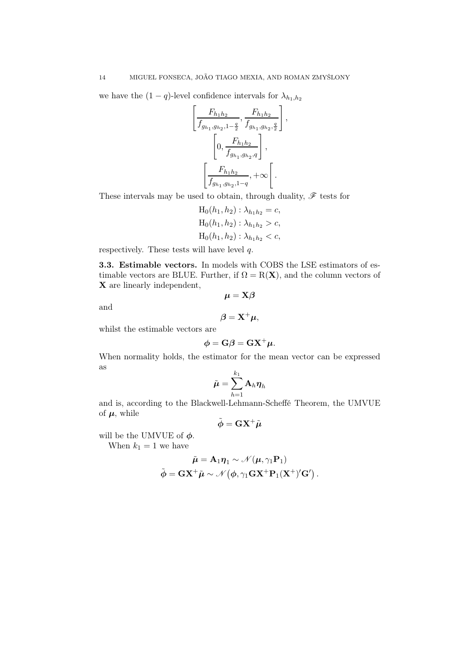we have the  $(1 - q)$ -level confidence intervals for  $\lambda_{h_1,h_2}$ 

$$
\left[\frac{F_{h_1h_2}}{f_{g_{h_1},g_{h_2},1-\frac{q}{2}}}, \frac{F_{h_1h_2}}{f_{g_{h_1},g_{h_2},\frac{q}{2}}}\right],
$$

$$
\left[0, \frac{F_{h_1h_2}}{f_{g_{h_1},g_{h_2},q}}\right],
$$

$$
\left[\frac{F_{h_1h_2}}{f_{g_{h_1},g_{h_2},1-q}}, +\infty\right[.
$$

These intervals may be used to obtain, through duality,  $\mathscr F$  tests for

$$
H_0(h_1, h_2) : \lambda_{h_1 h_2} = c,
$$
  
\n
$$
H_0(h_1, h_2) : \lambda_{h_1 h_2} > c,
$$
  
\n
$$
H_0(h_1, h_2) : \lambda_{h_1 h_2} < c,
$$

respectively. These tests will have level q.

3.3. Estimable vectors. In models with COBS the LSE estimators of estimable vectors are BLUE. Further, if  $\Omega = R(X)$ , and the column vectors of X are linearly independent,

and

$$
\beta = \mathbf{X}^+ \boldsymbol{\mu},
$$

 $\mu = X\beta$ 

whilst the estimable vectors are

$$
\boldsymbol{\phi} = \mathbf{G} \boldsymbol{\beta} = \mathbf{G} \mathbf{X}^+ \boldsymbol{\mu}.
$$

When normality holds, the estimator for the mean vector can be expressed as

$$
\tilde{\boldsymbol{\mu}} = \sum_{h=1}^{k_1} \mathbf{A}_h \boldsymbol{\eta}_h
$$

and is, according to the Blackwell-Lehmann-Scheffé Theorem, the UMVUE of  $\mu$ , while

$$
\tilde{\boldsymbol{\phi}} = \mathbf{G} \mathbf{X}^+ \tilde{\boldsymbol{\mu}}
$$

will be the UMVUE of  $\phi$ .

When  $k_1 = 1$  we have

$$
\tilde{\boldsymbol{\mu}} = \mathbf{A}_1 \boldsymbol{\eta}_1 \sim \mathscr{N}(\boldsymbol{\mu}, \gamma_1 \mathbf{P}_1)
$$

$$
\tilde{\boldsymbol{\phi}} = \mathbf{G} \mathbf{X}^+ \tilde{\boldsymbol{\mu}} \sim \mathscr{N}(\boldsymbol{\phi}, \gamma_1 \mathbf{G} \mathbf{X}^+ \mathbf{P}_1 (\mathbf{X}^+)'\mathbf{G}') \,.
$$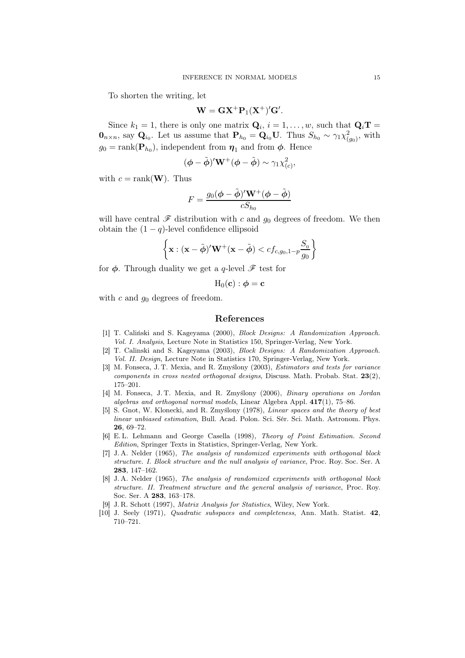To shorten the writing, let

$$
\mathbf{W} = \mathbf{G}\mathbf{X}^+\mathbf{P}_1(\mathbf{X}^+)' \mathbf{G}'.
$$

Since  $k_1 = 1$ , there is only one matrix  $\mathbf{Q}_i$ ,  $i = 1, \dots, w$ , such that  $\mathbf{Q}_i \mathbf{T} =$  $\mathbf{0}_{n\times n}$ , say  $\mathbf{Q}_{i_0}$ . Let us assume that  $\mathbf{P}_{h_0} = \mathbf{Q}_{i_0} \mathbf{U}$ . Thus  $S_{h_0} \sim \gamma_1 \chi^2_{(g_0)}$ , with  $g_0 = \text{rank}(\mathbf{P}_{h_0})$ , independent from  $\boldsymbol{\eta}_1$  and from  $\boldsymbol{\phi}$ . Hence

$$
(\boldsymbol{\phi} - \tilde{\boldsymbol{\phi}})' \mathbf{W}^+(\boldsymbol{\phi} - \tilde{\boldsymbol{\phi}}) \sim \gamma_1 \chi^2_{(c)},
$$

with  $c = \text{rank}(\mathbf{W})$ . Thus

$$
F = \frac{g_0(\phi - \tilde{\phi})'\mathbf{W}^+(\phi - \tilde{\phi})}{cS_{h_0}}
$$

will have central  $\mathscr F$  distribution with c and  $g_0$  degrees of freedom. We then obtain the  $(1 - q)$ -level confidence ellipsoid

$$
\left\{ \mathbf{x} : (\mathbf{x} - \tilde{\boldsymbol{\phi}})' \mathbf{W}^+ (\mathbf{x} - \tilde{\boldsymbol{\phi}}) < cf_{c,g_0,1-p} \frac{S_0}{g_0} \right\}
$$

for  $\phi$ . Through duality we get a q-level  $\mathscr F$  test for

$$
\mathrm{H}_0(\mathbf{c}):\boldsymbol{\phi}=\mathbf{c}
$$

with  $c$  and  $g_0$  degrees of freedom.

### References

- [1] T. Caliński and S. Kageyama (2000), Block Designs: A Randomization Approach. Vol. I. Analysis, Lecture Note in Statistics 150, Springer-Verlag, New York.
- [2] T. Calinski and S. Kageyama (2003), Block Designs: A Randomization Approach. Vol. II. Design, Lecture Note in Statistics 170, Springer-Verlag, New York.
- [3] M. Fonseca, J. T. Mexia, and R. Zmyślony (2003), Estimators and tests for variance components in cross nested orthogonal designs, Discuss. Math. Probab. Stat.  $23(2)$ , 175–201.
- [4] M. Fonseca, J. T. Mexia, and R. Zmyślony (2006), Binary operations on Jordan algebras and orthogonal normal models, Linear Algebra Appl. 417(1), 75–86.
- [5] S. Gnot, W. Klonecki, and R. Zmyślony (1978), Linear spaces and the theory of best linear unbiased estimation, Bull. Acad. Polon. Sci. Sér. Sci. Math. Astronom. Phys. 26, 69–72.
- [6] E. L. Lehmann and George Casella (1998), Theory of Point Estimation. Second Edition, Springer Texts in Statistics, Springer-Verlag, New York.
- [7] J. A. Nelder (1965), The analysis of randomized experiments with orthogonal block structure. I. Block structure and the null analysis of variance, Proc. Roy. Soc. Ser. A 283, 147–162.
- [8] J. A. Nelder (1965), The analysis of randomized experiments with orthogonal block structure. II. Treatment structure and the general analysis of variance, Proc. Roy. Soc. Ser. A 283, 163–178.
- [9] J. R. Schott (1997), Matrix Analysis for Statistics, Wiley, New York.
- [10] J. Seely (1971), Quadratic subspaces and completeness, Ann. Math. Statist. 42, 710–721.